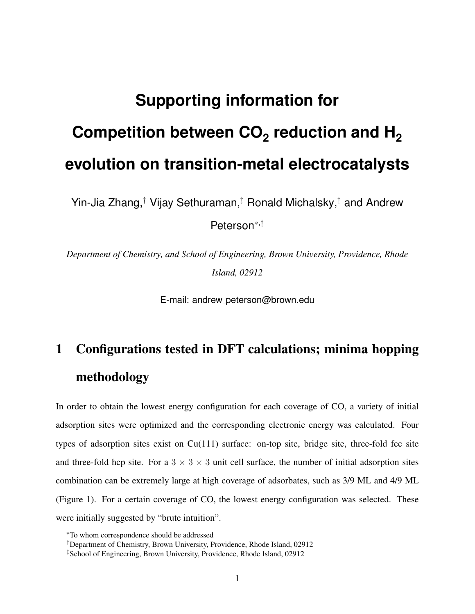# **Supporting information for Competition between CO<sup>2</sup> reduction and H<sup>2</sup> evolution on transition-metal electrocatalysts**

Yin-Jia Zhang,<sup>†</sup> Vijay Sethuraman,<sup>‡</sup> Ronald Michalsky,<sup>‡</sup> and Andrew

Peterson<sup>∗</sup>,‡

*Department of Chemistry, and School of Engineering, Brown University, Providence, Rhode Island, 02912*

E-mail: andrew peterson@brown.edu

## 1 Configurations tested in DFT calculations; minima hopping methodology

In order to obtain the lowest energy configuration for each coverage of CO, a variety of initial adsorption sites were optimized and the corresponding electronic energy was calculated. Four types of adsorption sites exist on  $Cu(111)$  surface: on-top site, bridge site, three-fold fcc site and three-fold hcp site. For a  $3 \times 3 \times 3$  unit cell surface, the number of initial adsorption sites combination can be extremely large at high coverage of adsorbates, such as 3/9 ML and 4/9 ML (Figure 1). For a certain coverage of CO, the lowest energy configuration was selected. These were initially suggested by "brute intuition".

<sup>∗</sup>To whom correspondence should be addressed

<sup>†</sup>Department of Chemistry, Brown University, Providence, Rhode Island, 02912

<sup>‡</sup>School of Engineering, Brown University, Providence, Rhode Island, 02912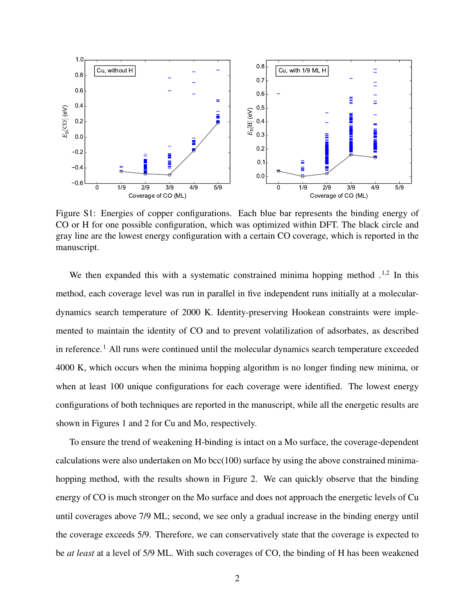

Figure S1: Energies of copper configurations. Each blue bar represents the binding energy of CO or H for one possible configuration, which was optimized within DFT. The black circle and gray line are the lowest energy configuration with a certain CO coverage, which is reported in the manuscript.

We then expanded this with a systematic constrained minima hopping method  $1.2$  In this method, each coverage level was run in parallel in five independent runs initially at a moleculardynamics search temperature of 2000 K. Identity-preserving Hookean constraints were implemented to maintain the identity of CO and to prevent volatilization of adsorbates, as described in reference.<sup>1</sup> All runs were continued until the molecular dynamics search temperature exceeded 4000 K, which occurs when the minima hopping algorithm is no longer finding new minima, or when at least 100 unique configurations for each coverage were identified. The lowest energy configurations of both techniques are reported in the manuscript, while all the energetic results are shown in Figures 1 and 2 for Cu and Mo, respectively.

To ensure the trend of weakening H-binding is intact on a Mo surface, the coverage-dependent calculations were also undertaken on Mo bcc(100) surface by using the above constrained minimahopping method, with the results shown in Figure 2. We can quickly observe that the binding energy of CO is much stronger on the Mo surface and does not approach the energetic levels of Cu until coverages above 7/9 ML; second, we see only a gradual increase in the binding energy until the coverage exceeds 5/9. Therefore, we can conservatively state that the coverage is expected to be *at least* at a level of 5/9 ML. With such coverages of CO, the binding of H has been weakened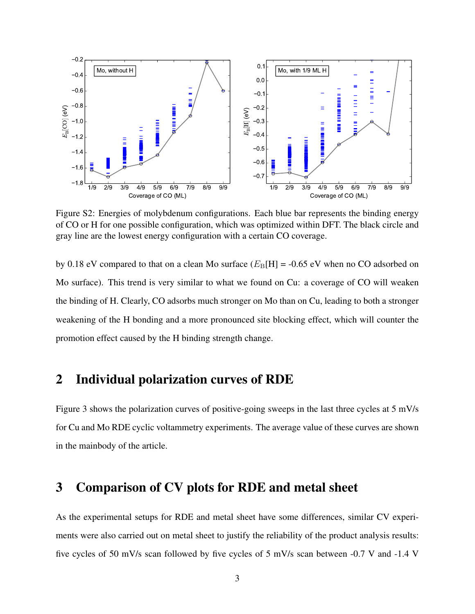

Figure S2: Energies of molybdenum configurations. Each blue bar represents the binding energy of CO or H for one possible configuration, which was optimized within DFT. The black circle and gray line are the lowest energy configuration with a certain CO coverage.

by 0.18 eV compared to that on a clean Mo surface  $(E_B[H] = -0.65 \text{ eV}$  when no CO adsorbed on Mo surface). This trend is very similar to what we found on Cu: a coverage of CO will weaken the binding of H. Clearly, CO adsorbs much stronger on Mo than on Cu, leading to both a stronger weakening of the H bonding and a more pronounced site blocking effect, which will counter the promotion effect caused by the H binding strength change.

#### 2 Individual polarization curves of RDE

Figure 3 shows the polarization curves of positive-going sweeps in the last three cycles at 5 mV/s for Cu and Mo RDE cyclic voltammetry experiments. The average value of these curves are shown in the mainbody of the article.

#### 3 Comparison of CV plots for RDE and metal sheet

As the experimental setups for RDE and metal sheet have some differences, similar CV experiments were also carried out on metal sheet to justify the reliability of the product analysis results: five cycles of 50 mV/s scan followed by five cycles of 5 mV/s scan between -0.7 V and -1.4 V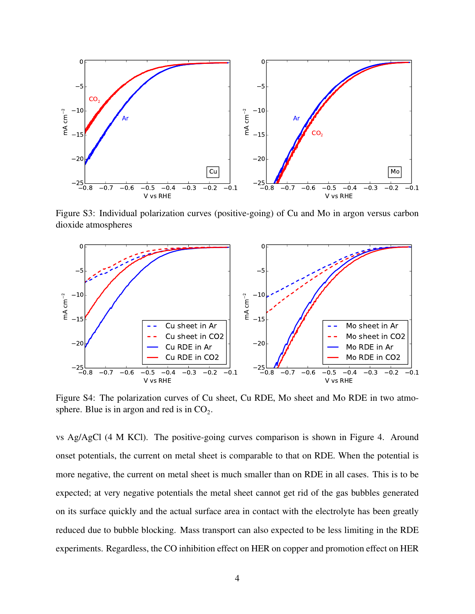

Figure S3: Individual polarization curves (positive-going) of Cu and Mo in argon versus carbon dioxide atmospheres



Figure S4: The polarization curves of Cu sheet, Cu RDE, Mo sheet and Mo RDE in two atmosphere. Blue is in argon and red is in  $CO<sub>2</sub>$ .

vs Ag/AgCl (4 M KCl). The positive-going curves comparison is shown in Figure 4. Around onset potentials, the current on metal sheet is comparable to that on RDE. When the potential is more negative, the current on metal sheet is much smaller than on RDE in all cases. This is to be expected; at very negative potentials the metal sheet cannot get rid of the gas bubbles generated on its surface quickly and the actual surface area in contact with the electrolyte has been greatly reduced due to bubble blocking. Mass transport can also expected to be less limiting in the RDE experiments. Regardless, the CO inhibition effect on HER on copper and promotion effect on HER